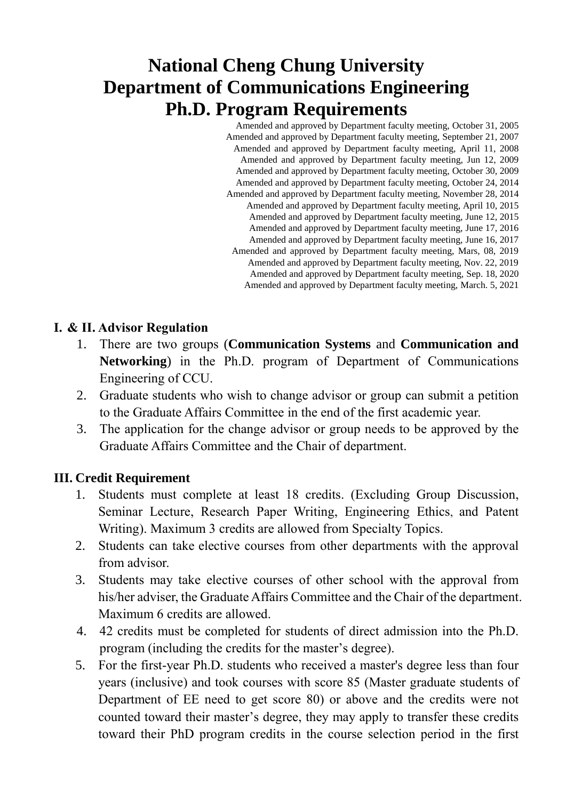# **National Cheng Chung University Department of Communications Engineering Ph.D. Program Requirements**

 Amended and approved by Department faculty meeting, October 31, 2005 Amended and approved by Department faculty meeting, September 21, 2007 Amended and approved by Department faculty meeting, April 11, 2008 Amended and approved by Department faculty meeting, Jun 12, 2009 Amended and approved by Department faculty meeting, October 30, 2009 Amended and approved by Department faculty meeting, October 24, 2014 Amended and approved by Department faculty meeting, November 28, 2014 Amended and approved by Department faculty meeting, April 10, 2015 Amended and approved by Department faculty meeting, June 12, 2015 Amended and approved by Department faculty meeting, June 17, 2016 Amended and approved by Department faculty meeting, June 16, 2017 Amended and approved by Department faculty meeting, Mars, 08, 2019 Amended and approved by Department faculty meeting, Nov. 22, 2019 Amended and approved by Department faculty meeting, Sep. 18, 2020 Amended and approved by Department faculty meeting, March. 5, 2021

### **I. & II. Advisor Regulation**

- 1. There are two groups (**Communication Systems** and **Communication and Networking**) in the Ph.D. program of Department of Communications Engineering of CCU.
- 2. Graduate students who wish to change advisor or group can submit a petition to the Graduate Affairs Committee in the end of the first academic year.
- 3. The application for the change advisor or group needs to be approved by the Graduate Affairs Committee and the Chair of department.

### **III. Credit Requirement**

- 1. Students must complete at least 18 credits. (Excluding Group Discussion, Seminar Lecture, Research Paper Writing, Engineering Ethics, and Patent Writing). Maximum 3 credits are allowed from Specialty Topics.
- 2. Students can take elective courses from other departments with the approval from advisor.
- 3. Students may take elective courses of other school with the approval from his/her adviser, the Graduate Affairs Committee and the Chair of the department. Maximum 6 credits are allowed.
- 4. 42 credits must be completed for students of direct admission into the Ph.D. program (including the credits for the master's degree).
- 5. For the first-year Ph.D. students who received a master's degree less than four years (inclusive) and took courses with score 85 (Master graduate students of Department of EE need to get score 80) or above and the credits were not counted toward their master's degree, they may apply to transfer these credits toward their PhD program credits in the course selection period in the first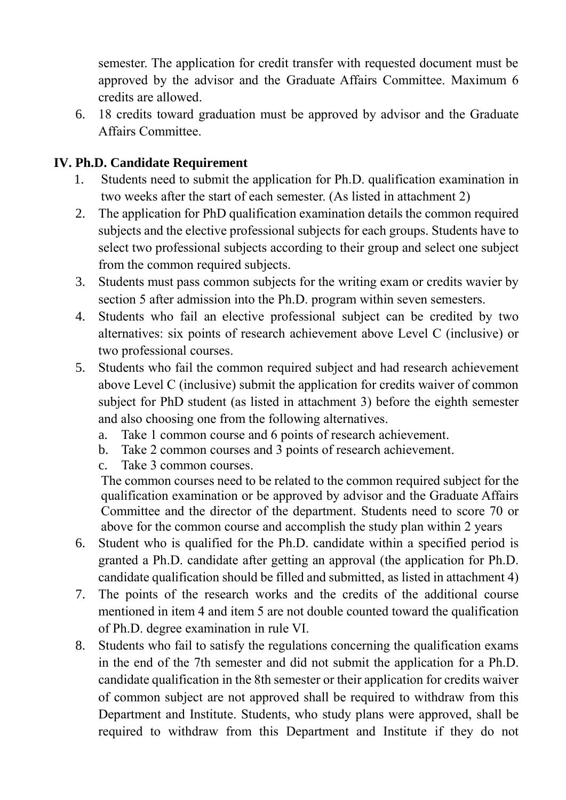semester. The application for credit transfer with requested document must be approved by the advisor and the Graduate Affairs Committee. Maximum 6 credits are allowed.

6. 18 credits toward graduation must be approved by advisor and the Graduate Affairs Committee.

### **IV. Ph.D. Candidate Requirement**

- 1. Students need to submit the application for Ph.D. qualification examination in two weeks after the start of each semester. (As listed in attachment 2)
- 2. The application for PhD qualification examination details the common required subjects and the elective professional subjects for each groups. Students have to select two professional subjects according to their group and select one subject from the common required subjects.
- 3. Students must pass common subjects for the writing exam or credits wavier by section 5 after admission into the Ph.D. program within seven semesters.
- 4. Students who fail an elective professional subject can be credited by two alternatives: six points of research achievement above Level C (inclusive) or two professional courses.
- 5. Students who fail the common required subject and had research achievement above Level C (inclusive) submit the application for credits waiver of common subject for PhD student (as listed in attachment 3) before the eighth semester and also choosing one from the following alternatives.
	- a. Take 1 common course and 6 points of research achievement.
	- b. Take 2 common courses and 3 points of research achievement.
	- c. Take 3 common courses.

The common courses need to be related to the common required subject for the qualification examination or be approved by advisor and the Graduate Affairs Committee and the director of the department. Students need to score 70 or above for the common course and accomplish the study plan within 2 years

- 6. Student who is qualified for the Ph.D. candidate within a specified period is granted a Ph.D. candidate after getting an approval (the application for Ph.D. candidate qualification should be filled and submitted, as listed in attachment 4)
- 7. The points of the research works and the credits of the additional course mentioned in item 4 and item 5 are not double counted toward the qualification of Ph.D. degree examination in rule VI.
- 8. Students who fail to satisfy the regulations concerning the qualification exams in the end of the 7th semester and did not submit the application for a Ph.D. candidate qualification in the 8th semester or their application for credits waiver of common subject are not approved shall be required to withdraw from this Department and Institute. Students, who study plans were approved, shall be required to withdraw from this Department and Institute if they do not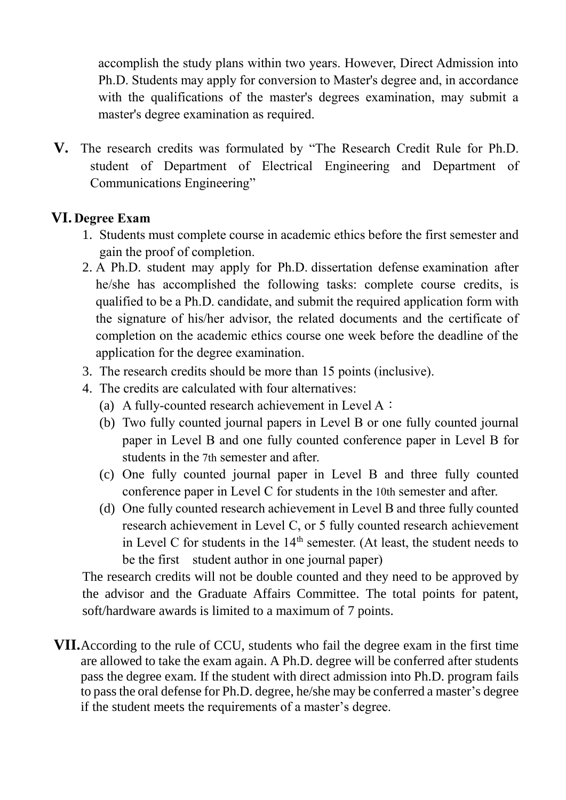accomplish the study plans within two years. However, Direct Admission into Ph.D. Students may apply for conversion to Master's degree and, in accordance with the qualifications of the master's degrees examination, may submit a master's degree examination as required.

**V.** The research credits was formulated by "The Research Credit Rule for Ph.D. student of Department of Electrical Engineering and Department of Communications Engineering"

#### **VI. Degree Exam**

- 1. Students must complete course in academic ethics before the first semester and gain the proof of completion.
- 2. A Ph.D. student may apply for Ph.D. dissertation defense examination after he/she has accomplished the following tasks: complete course credits, is qualified to be a Ph.D. candidate, and submit the required application form with the signature of his/her advisor, the related documents and the certificate of completion on the academic ethics course one week before the deadline of the application for the degree examination.
- 3. The research credits should be more than 15 points (inclusive).
- 4. The credits are calculated with four alternatives:
	- (a) A fully-counted research achievement in Level A:
	- (b) Two fully counted journal papers in Level B or one fully counted journal paper in Level B and one fully counted conference paper in Level B for students in the 7th semester and after.
	- (c) One fully counted journal paper in Level B and three fully counted conference paper in Level C for students in the 10th semester and after.
	- (d) One fully counted research achievement in Level B and three fully counted research achievement in Level C, or 5 fully counted research achievement in Level C for students in the  $14<sup>th</sup>$  semester. (At least, the student needs to be the first student author in one journal paper)

The research credits will not be double counted and they need to be approved by the advisor and the Graduate Affairs Committee. The total points for patent, soft/hardware awards is limited to a maximum of 7 points.

**VII.**According to the rule of CCU, students who fail the degree exam in the first time are allowed to take the exam again. A Ph.D. degree will be conferred after students pass the degree exam. If the student with direct admission into Ph.D. program fails to pass the oral defense for Ph.D. degree, he/she may be conferred a master's degree if the student meets the requirements of a master's degree.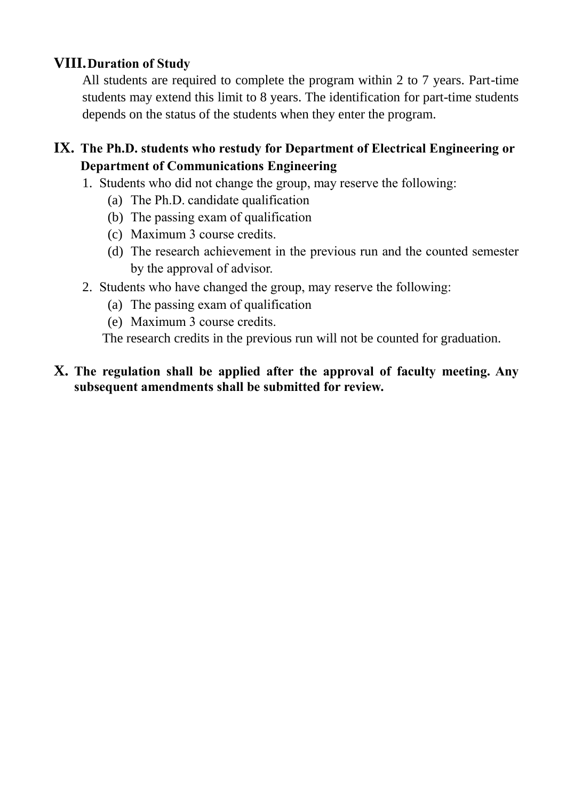### **VIII.Duration of Study**

All students are required to complete the program within 2 to 7 years. Part-time students may extend this limit to 8 years. The identification for part-time students depends on the status of the students when they enter the program.

### **IX. The Ph.D. students who restudy for Department of Electrical Engineering or Department of Communications Engineering**

- 1. Students who did not change the group, may reserve the following:
	- (a) The Ph.D. candidate qualification
	- (b) The passing exam of qualification
	- (c) Maximum 3 course credits.
	- (d) The research achievement in the previous run and the counted semester by the approval of advisor.
- 2. Students who have changed the group, may reserve the following:
	- (a) The passing exam of qualification
	- (e) Maximum 3 course credits.

The research credits in the previous run will not be counted for graduation.

#### **X. The regulation shall be applied after the approval of faculty meeting. Any subsequent amendments shall be submitted for review.**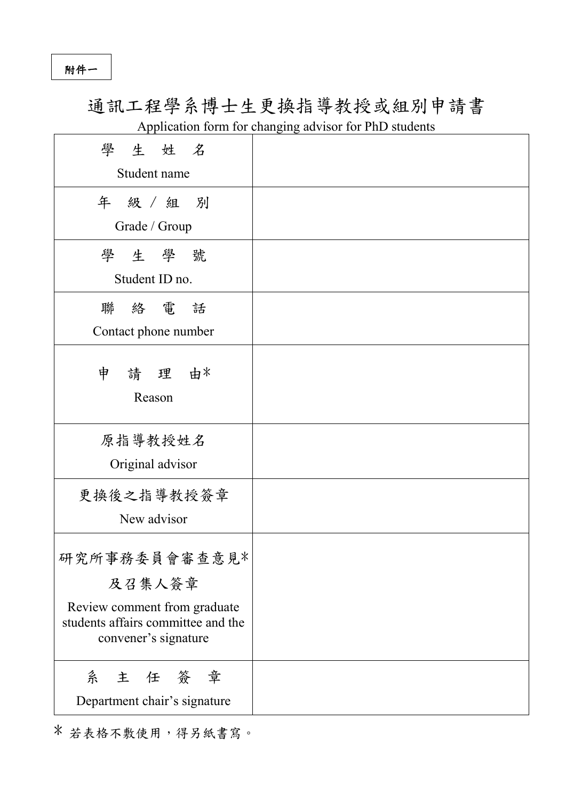附件一

## 通訊工程學系博士生更換指導教授或組別申請書 Application form for changing advisor for PhD students

| 學生姓名                                                                                                                  |  |
|-----------------------------------------------------------------------------------------------------------------------|--|
| Student name                                                                                                          |  |
| 年 級 / 組 別                                                                                                             |  |
| Grade / Group                                                                                                         |  |
| 學生學號                                                                                                                  |  |
| Student ID no.                                                                                                        |  |
| 聯絡電話<br>Contact phone number                                                                                          |  |
|                                                                                                                       |  |
| 申 請 理 由*<br>Reason                                                                                                    |  |
|                                                                                                                       |  |
| 原指導教授姓名<br>Original advisor                                                                                           |  |
| 更换後之指導教授簽章<br>New advisor                                                                                             |  |
| 研究所事務委員會審查意見*<br>及召集人簽章<br>Review comment from graduate<br>students affairs committee and the<br>convener's signature |  |
|                                                                                                                       |  |
| 系主任簽章                                                                                                                 |  |
| Department chair's signature                                                                                          |  |

\* 若表格不敷使用,得另紙書寫。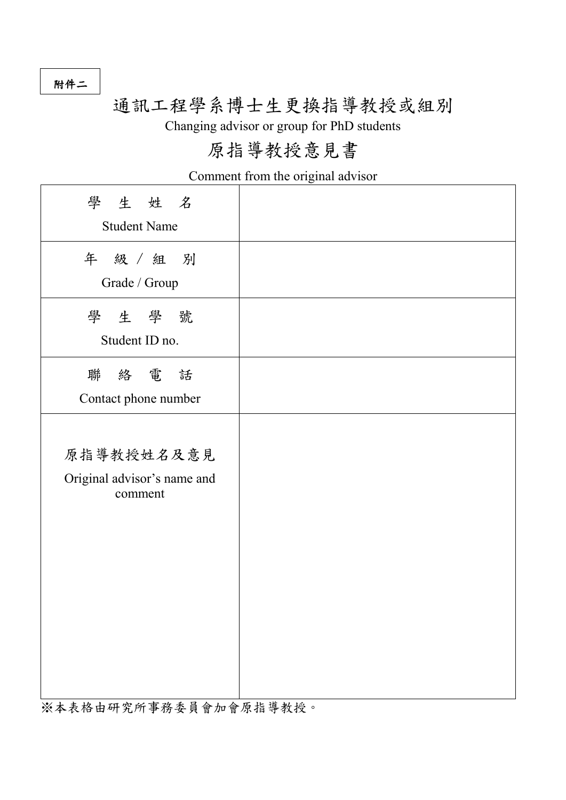附件二

# 通訊工程學系博士生更換指導教授或組別

Changing advisor or group for PhD students

# 原指導教授意見書

Comment from the original advisor

| 學生姓名<br><b>Student Name</b>                          |  |
|------------------------------------------------------|--|
| 年 級 / 組 別<br>Grade / Group                           |  |
| 學生學號<br>Student ID no.                               |  |
| 聯絡電話<br>Contact phone number                         |  |
| 原指導教授姓名及意見<br>Original advisor's name and<br>comment |  |

※本表格由研究所事務委員會加會原指導教授。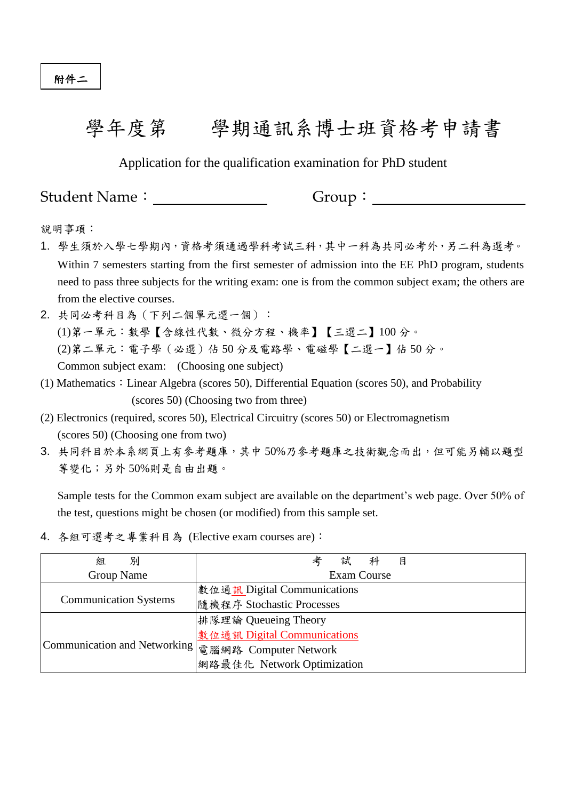# 學年度第 學期通訊系博士班資格考申請書

Application for the qualification examination for PhD student

Student Name: Group:

說明事項:

- 1. 學生須於入學七學期內,資格考須通過學科考試三科,其中一科為共同必考外,另二科為選考。 Within 7 semesters starting from the first semester of admission into the EE PhD program, students need to pass three subjects for the writing exam: one is from the common subject exam; the others are from the elective courses.
- 2. 共同必考科目為(下列二個單元選一個): (1)第一單元:數學【含線性代數、微分方程、機率】【三選二】100 分。 (2)第二單元:電子學(必選)佔 50 分及電路學、電磁學【二選一】佔 50 分。 Common subject exam: (Choosing one subject)
- (1) Mathematics: Linear Algebra (scores 50), Differential Equation (scores 50), and Probability (scores 50) (Choosing two from three)
- (2) Electronics (required, scores 50), Electrical Circuitry (scores 50) or Electromagnetism (scores 50) (Choosing one from two)
- 3. 共同科目於本系網頁上有參考題庫,其中50%乃參考題庫之技術觀念而出,但可能另輔以題型 等變化;另外 50%則是自由出題。

Sample tests for the Common exam subject are available on the department's web page. Over 50% of the test, questions might be chosen (or modified) from this sample set.

4. 各組可選考之專業科目為 (Elective exam courses are):

| 別<br>組                                               | 試<br>目                      |  |  |
|------------------------------------------------------|-----------------------------|--|--|
| Group Name                                           | Exam Course                 |  |  |
|                                                      | 數位通訊 Digital Communications |  |  |
| <b>Communication Systems</b>                         | 隨機程序 Stochastic Processes   |  |  |
|                                                      | 排隊理論 Queueing Theory        |  |  |
| Communication and Networking   電腦網路 Computer Network | 數位通訊 Digital Communications |  |  |
|                                                      |                             |  |  |
|                                                      | 網路最佳化 Network Optimization  |  |  |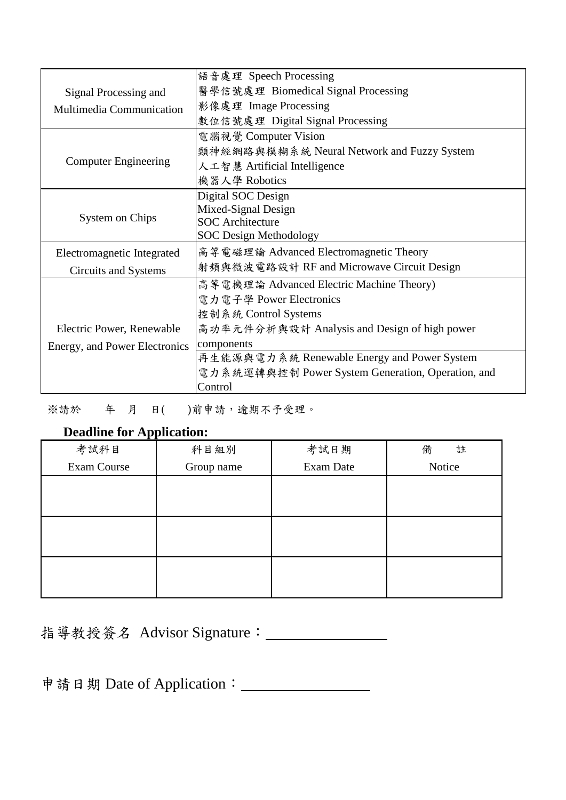|                               | 語音處理 Speech Processing                            |  |
|-------------------------------|---------------------------------------------------|--|
| Signal Processing and         | 醫學信號處理 Biomedical Signal Processing               |  |
| Multimedia Communication      | 影像處理 Image Processing                             |  |
|                               | 數位信號處理 Digital Signal Processing                  |  |
|                               | 電腦視覺 Computer Vision                              |  |
|                               | 類神經網路與模糊系統 Neural Network and Fuzzy System        |  |
| <b>Computer Engineering</b>   | 人工智慧 Artificial Intelligence                      |  |
|                               | 機器人學 Robotics                                     |  |
|                               | Digital SOC Design                                |  |
|                               | Mixed-Signal Design                               |  |
| System on Chips               | <b>SOC</b> Architecture                           |  |
|                               | <b>SOC Design Methodology</b>                     |  |
| Electromagnetic Integrated    | 高等電磁理論 Advanced Electromagnetic Theory            |  |
| Circuits and Systems          | 射頻與微波電路設計 RF and Microwave Circuit Design         |  |
|                               | 高等電機理論 Advanced Electric Machine Theory)          |  |
|                               | 電力電子學 Power Electronics                           |  |
|                               | 控制系統 Control Systems                              |  |
| Electric Power, Renewable     | 高功率元件分析與設計 Analysis and Design of high power      |  |
| Energy, and Power Electronics | components                                        |  |
|                               | 再生能源與電力系統 Renewable Energy and Power System       |  |
|                               | 電力系統運轉與控制 Power System Generation, Operation, and |  |
|                               | Control                                           |  |

※請於 年 月 日( )前申請,逾期不予受理。

### **Deadline for Application:**

| 考試科目        | 科目組別       | 考試日期      | 備<br>註 |
|-------------|------------|-----------|--------|
| Exam Course | Group name | Exam Date | Notice |
|             |            |           |        |
|             |            |           |        |
|             |            |           |        |
|             |            |           |        |
|             |            |           |        |
|             |            |           |        |

指導教授簽名 Advisor Signature: \_\_\_\_\_\_\_\_\_\_\_\_\_\_\_\_\_

申請日期 Date of Application: \_\_\_\_\_\_\_\_\_\_\_\_\_\_\_\_\_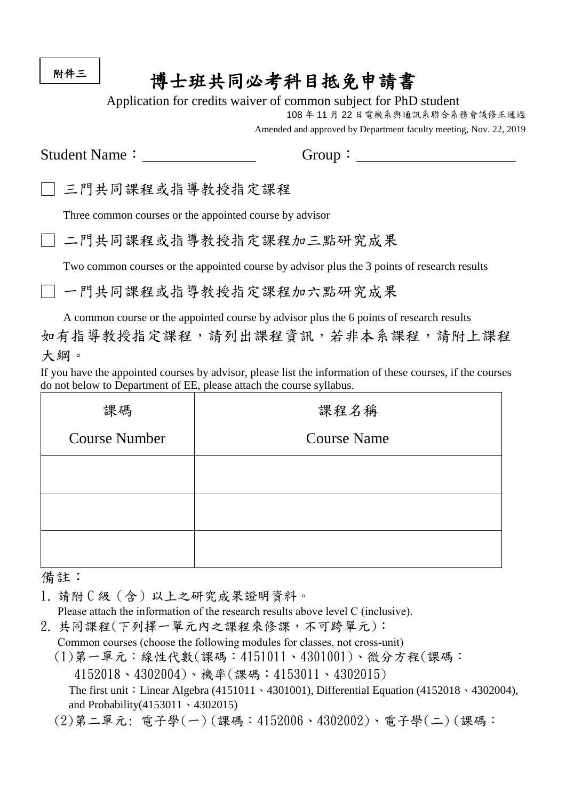附件三

# 博士班共同必考科目抵免申請書

Application for credits waiver of common subject for PhD student

108 年 11 月 22 日電機系與通訊系聯合系務會議修正通過

Amended and approved by Department faculty meeting, Nov. 22, 2019

Student Name: Group:

三門共同課程或指導教授指定課程

Three common courses or the appointed course by advisor

□ 二門共同課程或指導教授指定課程加三點研究成果

Two common courses or the appointed course by advisor plus the 3 points of research results

一門共同課程或指導教授指定課程加六點研究成果

A common course or the appointed course by advisor plus the 6 points of research results 如有指導教授指定課程,請列出課程資訊,若非本系課程,請附上課程 大綱。

If you have the appointed courses by advisor, please list the information of these courses, if the courses do not below to Department of EE, please attach the course syllabus.

| 課碼                   | 課程名稱               |  |  |
|----------------------|--------------------|--|--|
| <b>Course Number</b> | <b>Course Name</b> |  |  |
|                      |                    |  |  |
|                      |                    |  |  |
|                      |                    |  |  |

備註:

1. 請附 C 級 (含) 以上之研究成果證明資料。

Please attach the information of the research results above level C (inclusive).

2. 共同課程(下列擇一單元內之課程來修課,不可跨單元):

Common courses (choose the following modules for classes, not cross-unit)

(1)第一單元:線性代數(課碼:4151011、4301001)、微分方程(課碼:

4152018、4302004)、機率(課碼:4153011、4302015)

The first unit: Linear Algebra (4151011、4301001), Differential Equation (4152018、4302004), and Probability(4153011、4302015)

(2)第二單元: 電子學(一) (課碼:4152006、4302002)、電子學(二) (課碼: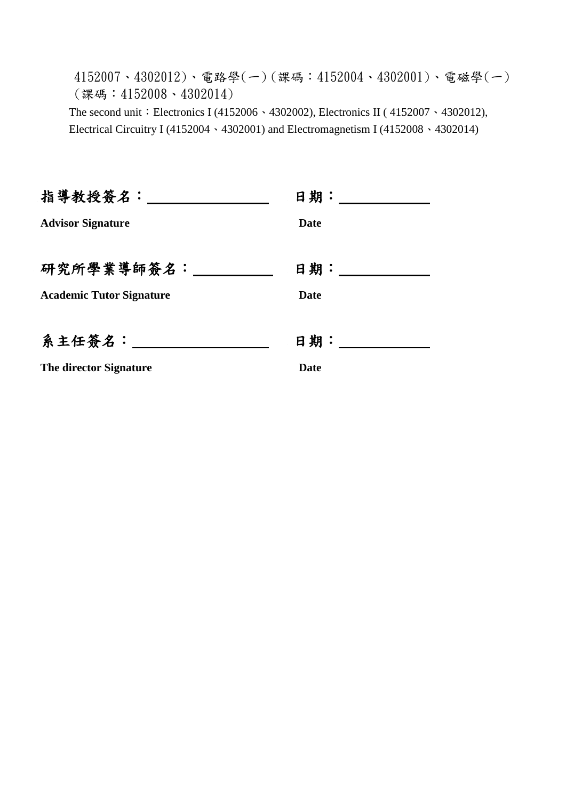4152007、4302012)、電路學(一) (課碼:4152004、4302001)、電磁學(一) (課碼:4152008、4302014) The second unit: Electronics I (4152006 · 4302002), Electronics II (4152007 · 4302012), Electrical Circuitry I (4152004、4302001) and Electromagnetism I (4152008、4302014)

| 指導教授簽名: ________                | 日期: 2008年11月 |
|---------------------------------|--------------|
| <b>Advisor Signature</b>        | Date         |
|                                 |              |
| 研究所學業導師簽名:                      | 日期:_____     |
| <b>Academic Tutor Signature</b> | Date         |
|                                 |              |
| 系主任簽名:                          | 日期:          |
| <b>The director Signature</b>   | Date         |
|                                 |              |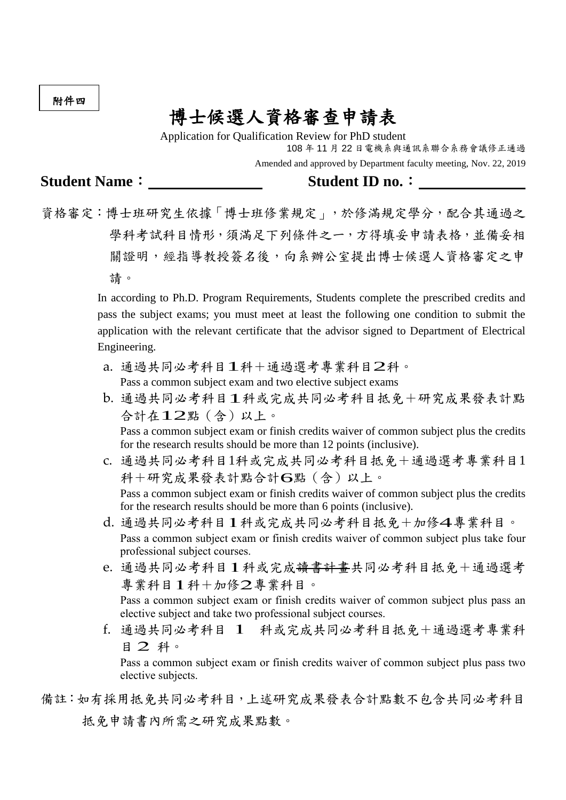附件四

## 博士候選人資格審查申請表

Application for Qualification Review for PhD student 108 年 11 月 22 日電機系與通訊系聯合系務會議修正通過 Amended and approved by Department faculty meeting, Nov. 22, 2019

**Student Name**: **Student ID no.**:

資格審定:博士班研究生依據「博士班修業規定」,於修滿規定學分,配合其通過之 學科考試科目情形,須滿足下列條件之一,方得填妥申請表格,並備妥相 關證明,經指導教授簽名後,向系辦公室提出博士候選人資格審定之申 請。

> In according to Ph.D. Program Requirements, Students complete the prescribed credits and pass the subject exams; you must meet at least the following one condition to submit the application with the relevant certificate that the advisor signed to Department of Electrical Engineering.

- a. 通過共同必考科目1科+通過選考專業科目2科。 Pass a common subject exam and two elective subject exams
- b. 通過共同必考科目1科或完成共同必考科目抵免+研究成果發表計點 合計在12點(含)以上。

Pass a common subject exam or finish credits waiver of common subject plus the credits for the research results should be more than 12 points (inclusive).

- c. 通過共同必考科目1科或完成共同必考科目抵免+通過選考專業科目1 科+研究成果發表計點合計6點(含)以上。 Pass a common subject exam or finish credits waiver of common subject plus the credits for the research results should be more than 6 points (inclusive).
- d. 通過共同必考科目1科或完成共同必考科目抵免+加修4專業科目。 Pass a common subject exam or finish credits waiver of common subject plus take four professional subject courses.
- e. 通過共同必考科目1科或完成讀書計畫共同必考科目抵免+通過選考 專業科目1科+加修2專業科目。 Pass a common subject exam or finish credits waiver of common subject plus pass an elective subject and take two professional subject courses.
- f. 通過共同必考科目 1 科或完成共同必考科目抵免+通過選考專業科 <sup>目</sup> 2 科。

Pass a common subject exam or finish credits waiver of common subject plus pass two elective subjects.

備註:如有採用抵免共同必考科目,上述研究成果發表合計點數不包含共同必考科目 抵免申請書內所需之研究成果點數。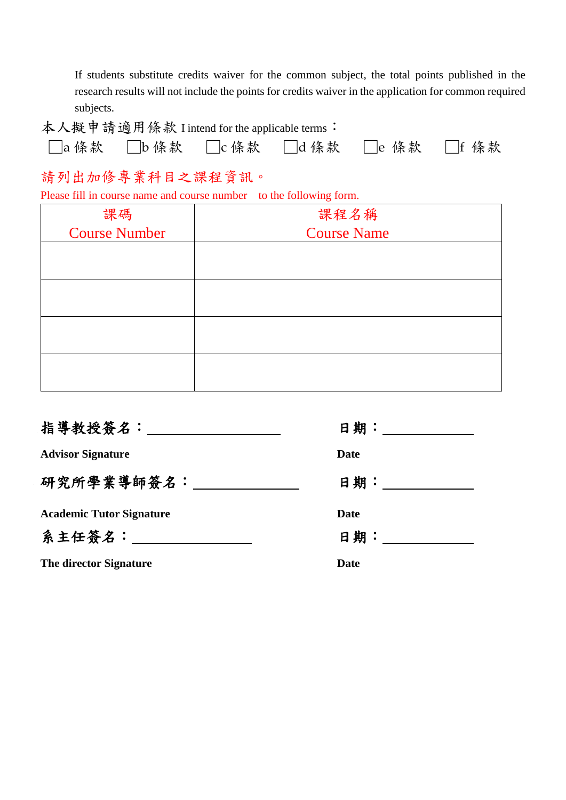If students substitute credits waiver for the common subject, the total points published in the research results will not include the points for credits waiver in the application for common required subjects.

| 本人擬申請適用條款 I intend for the applicable terms: |  |                                 |  |
|----------------------------------------------|--|---------------------------------|--|
|                                              |  | □a條款 □b條款 □c條款 □d條款 □e 條款 □f 條款 |  |

### 請列出加修專業科目之課程資訊。

Please fill in course name and course number to the following form.

| 課碼                   | 課程名稱               |  |  |
|----------------------|--------------------|--|--|
| <b>Course Number</b> | <b>Course Name</b> |  |  |
|                      |                    |  |  |
|                      |                    |  |  |
|                      |                    |  |  |
|                      |                    |  |  |
|                      |                    |  |  |
|                      |                    |  |  |
|                      |                    |  |  |
|                      |                    |  |  |

| 指導教授簽名:_____________            |              |
|---------------------------------|--------------|
| <b>Advisor Signature</b>        | <b>Date</b>  |
| 研究所學業導師簽名:                      | 日期: ________ |
| <b>Academic Tutor Signature</b> | <b>Date</b>  |
| 系主任簽名:                          | 日期:          |
| <b>The director Signature</b>   | <b>Date</b>  |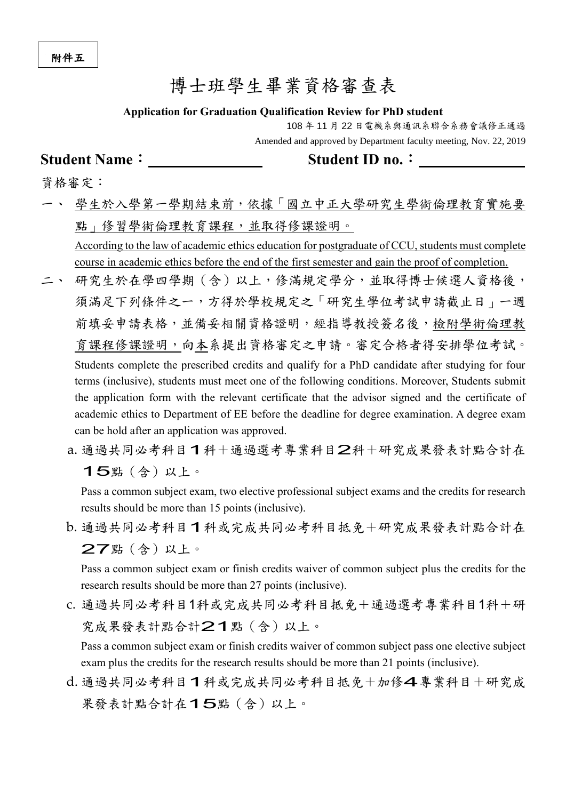### 博士班學生畢業資格審查表

#### **Application for Graduation Qualification Review for PhD student**

108 年 11 月 22 日電機系與通訊系聯合系務會議修正通過 Amended and approved by Department faculty meeting, Nov. 22, 2019

#### **Student Name**: **Student ID no.**:

資格審定:

學生於入學第一學期結束前,依據「國立中正大學研究生學術倫理教育實施要 點 的 修習學術倫理教育課程,並取得修課證明。 According to the law of academic ethics education for postgraduate of CCU, students must complete

course in academic ethics before the end of the first semester and gain the proof of completion.

- 二、 研究生於在學四學期(含)以上,修滿規定學分,並取得博士候選人資格後, 須滿足下列條件之一,方得於學校規定之「研究生學位考試申請截止日」一週 前填妥申請表格,並備妥相關資格證明,經指導教授簽名後,檢附學術倫理教 育課程修課證明,向本系提出資格審定之申請。審定合格者得安排學位考試。 Students complete the prescribed credits and qualify for a PhD candidate after studying for four terms (inclusive), students must meet one of the following conditions. Moreover, Students submit the application form with the relevant certificate that the advisor signed and the certificate of academic ethics to Department of EE before the deadline for degree examination. A degree exam can be hold after an application was approved.
	- a. 通過共同必考科目1科+通過選考專業科目2科+研究成果發表計點合計在 15點(含)以上。

Pass a common subject exam, two elective professional subject exams and the credits for research results should be more than 15 points (inclusive).

b. 通過共同必考科目1科或完成共同必考科目抵免+研究成果發表計點合計在 27點(含)以上。

Pass a common subject exam or finish credits waiver of common subject plus the credits for the research results should be more than 27 points (inclusive).

c. 通過共同必考科目1科或完成共同必考科目抵免+通過選考專業科目1科+研 究成果發表計點合計21點(含)以上。

Pass a common subject exam or finish credits waiver of common subject pass one elective subject exam plus the credits for the research results should be more than 21 points (inclusive).

d. 通過共同必考科目1科或完成共同必考科目抵免+加修4專業科目+研究成 果發表計點合計在15點(含)以上。